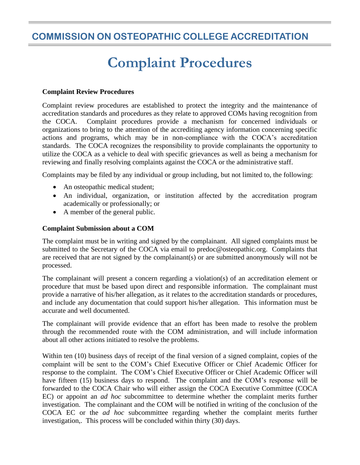# **COMMISSION ON OSTEOPATHIC COLLEGE ACCREDITATION**

# **Complaint Procedures**

#### **Complaint Review Procedures**

Complaint review procedures are established to protect the integrity and the maintenance of accreditation standards and procedures as they relate to approved COMs having recognition from the COCA.Complaint procedures provide a mechanism for concerned individuals or organizations to bring to the attention of the accrediting agency information concerning specific actions and programs, which may be in non-compliance with the COCA's accreditation standards.The COCA recognizes the responsibility to provide complainants the opportunity to utilize the COCA as a vehicle to deal with specific grievances as well as being a mechanism for reviewing and finally resolving complaints against the COCA or the administrative staff.

Complaints may be filed by any individual or group including, but not limited to, the following:

- An osteopathic medical student;
- An individual, organization, or institution affected by the accreditation program academically or professionally; or
- A member of the general public.

#### **Complaint Submission about a COM**

The complaint must be in writing and signed by the complainant. All signed complaints must be submitted to the Secretary of the COCA via email to predoc@osteopathic.org. Complaints that are received that are not signed by the complainant(s) or are submitted anonymously will not be processed.

The complainant will present a concern regarding a violation(s) of an accreditation element or procedure that must be based upon direct and responsible information. The complainant must provide a narrative of his/her allegation, as it relates to the accreditation standards or procedures, and include any documentation that could support his/her allegation. This information must be accurate and well documented.

The complainant will provide evidence that an effort has been made to resolve the problem through the recommended route with the COM administration, and will include information about all other actions initiated to resolve the problems.

Within ten (10) business days of receipt of the final version of a signed complaint, copies of the complaint will be sent to the COM's Chief Executive Officer or Chief Academic Officer for response to the complaint. The COM's Chief Executive Officer or Chief Academic Officer will have fifteen (15) business days to respond. The complaint and the COM's response will be forwarded to the COCA Chair who will either assign the COCA Executive Committee (COCA EC) or appoint an *ad hoc* subcommittee to determine whether the complaint merits further investigation. The complainant and the COM will be notified in writing of the conclusion of the COCA EC or the *ad hoc* subcommittee regarding whether the complaint merits further investigation,. This process will be concluded within thirty (30) days.